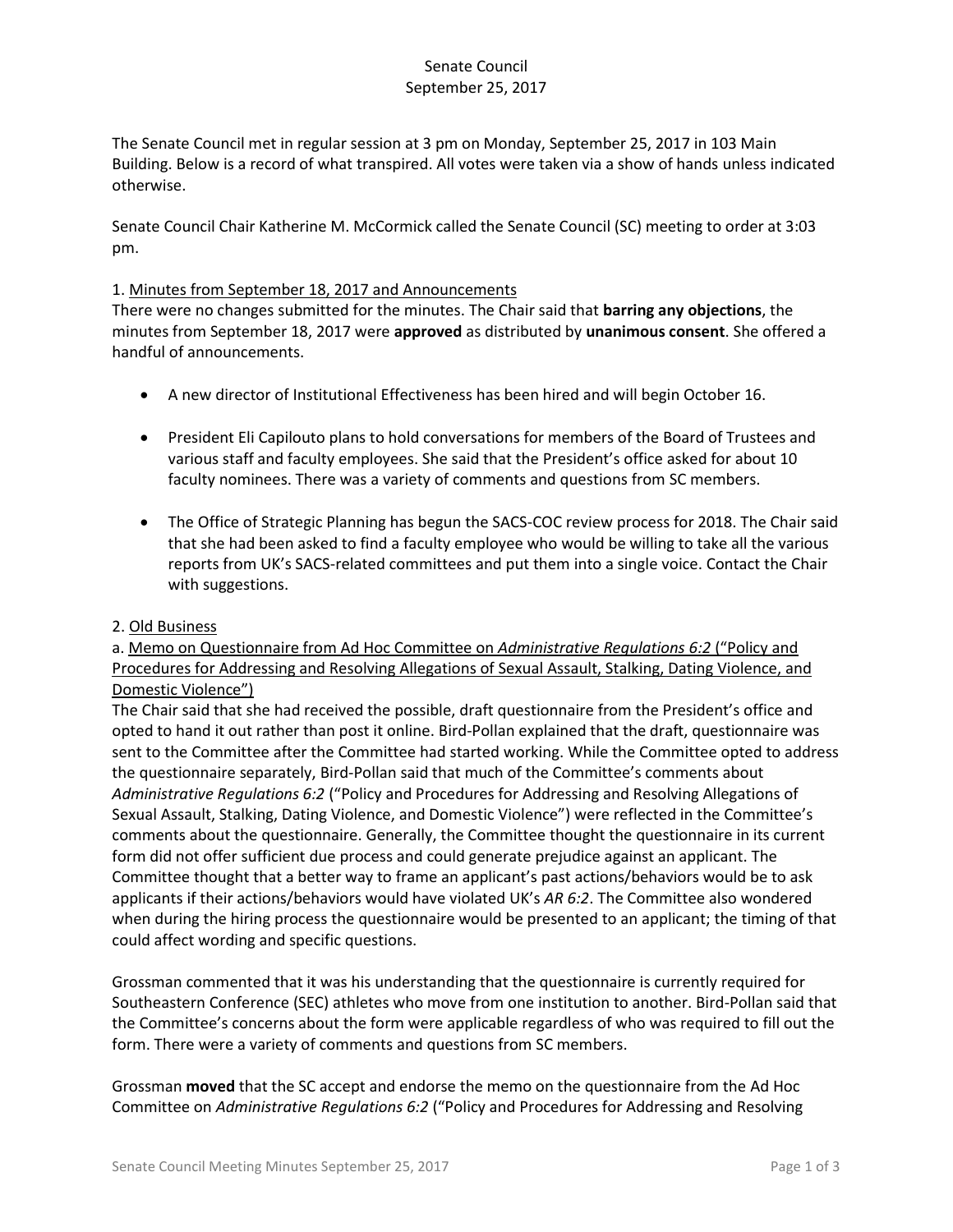# Senate Council September 25, 2017

The Senate Council met in regular session at 3 pm on Monday, September 25, 2017 in 103 Main Building. Below is a record of what transpired. All votes were taken via a show of hands unless indicated otherwise.

Senate Council Chair Katherine M. McCormick called the Senate Council (SC) meeting to order at 3:03 pm.

#### 1. Minutes from September 18, 2017 and Announcements

There were no changes submitted for the minutes. The Chair said that **barring any objections**, the minutes from September 18, 2017 were **approved** as distributed by **unanimous consent**. She offered a handful of announcements.

- A new director of Institutional Effectiveness has been hired and will begin October 16.
- President Eli Capilouto plans to hold conversations for members of the Board of Trustees and various staff and faculty employees. She said that the President's office asked for about 10 faculty nominees. There was a variety of comments and questions from SC members.
- The Office of Strategic Planning has begun the SACS-COC review process for 2018. The Chair said that she had been asked to find a faculty employee who would be willing to take all the various reports from UK's SACS-related committees and put them into a single voice. Contact the Chair with suggestions.

#### 2. Old Business

a. Memo on Questionnaire from Ad Hoc Committee on *Administrative Regulations 6:2* ("Policy and Procedures for Addressing and Resolving Allegations of Sexual Assault, Stalking, Dating Violence, and Domestic Violence")

The Chair said that she had received the possible, draft questionnaire from the President's office and opted to hand it out rather than post it online. Bird-Pollan explained that the draft, questionnaire was sent to the Committee after the Committee had started working. While the Committee opted to address the questionnaire separately, Bird-Pollan said that much of the Committee's comments about *Administrative Regulations 6:2* ("Policy and Procedures for Addressing and Resolving Allegations of Sexual Assault, Stalking, Dating Violence, and Domestic Violence") were reflected in the Committee's comments about the questionnaire. Generally, the Committee thought the questionnaire in its current form did not offer sufficient due process and could generate prejudice against an applicant. The Committee thought that a better way to frame an applicant's past actions/behaviors would be to ask applicants if their actions/behaviors would have violated UK's *AR 6:2*. The Committee also wondered when during the hiring process the questionnaire would be presented to an applicant; the timing of that could affect wording and specific questions.

Grossman commented that it was his understanding that the questionnaire is currently required for Southeastern Conference (SEC) athletes who move from one institution to another. Bird-Pollan said that the Committee's concerns about the form were applicable regardless of who was required to fill out the form. There were a variety of comments and questions from SC members.

Grossman **moved** that the SC accept and endorse the memo on the questionnaire from the Ad Hoc Committee on *Administrative Regulations 6:2* ("Policy and Procedures for Addressing and Resolving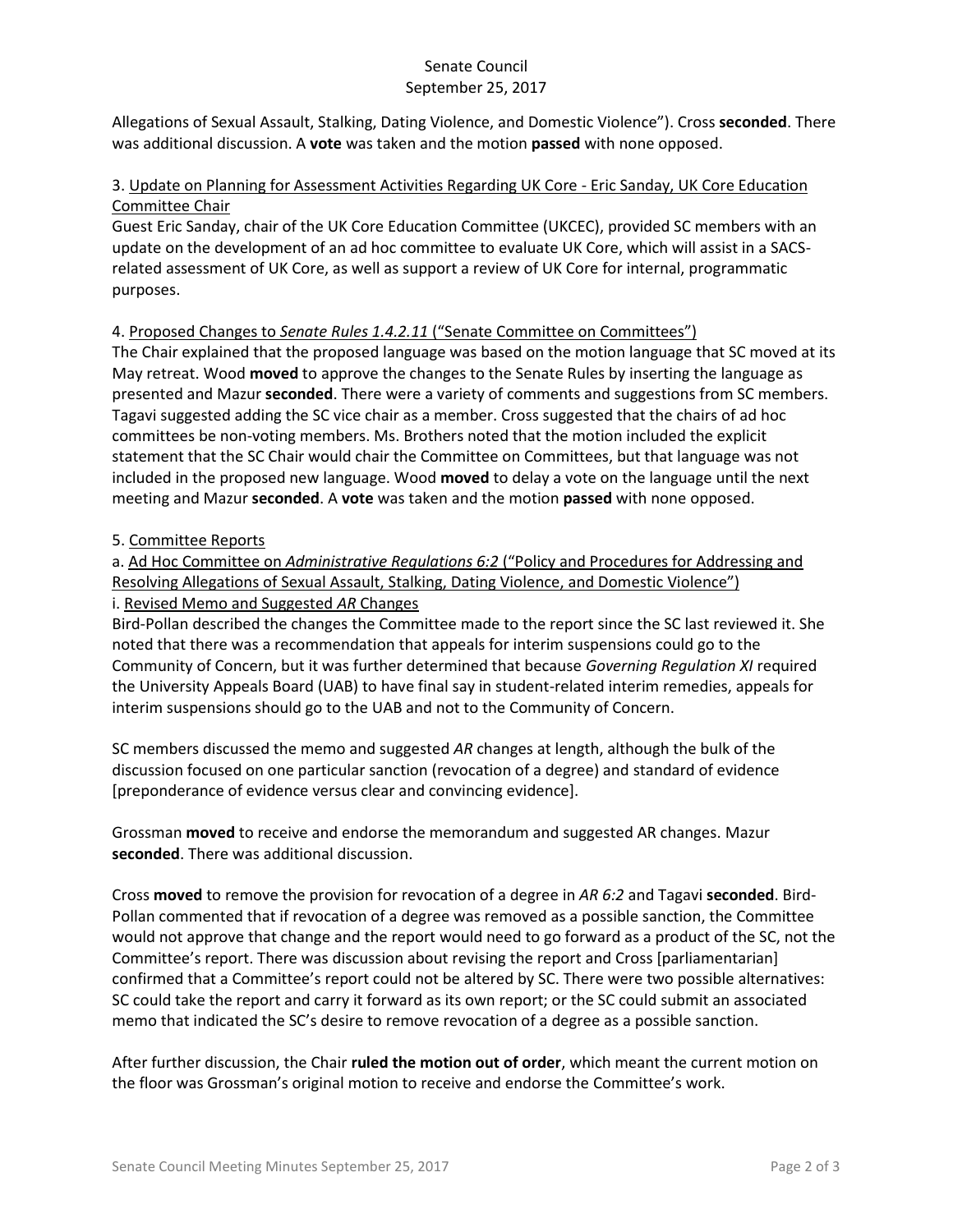#### Senate Council September 25, 2017

Allegations of Sexual Assault, Stalking, Dating Violence, and Domestic Violence"). Cross **seconded**. There was additional discussion. A **vote** was taken and the motion **passed** with none opposed.

## 3. Update on Planning for Assessment Activities Regarding UK Core - Eric Sanday, UK Core Education Committee Chair

Guest Eric Sanday, chair of the UK Core Education Committee (UKCEC), provided SC members with an update on the development of an ad hoc committee to evaluate UK Core, which will assist in a SACSrelated assessment of UK Core, as well as support a review of UK Core for internal, programmatic purposes.

## 4. Proposed Changes to *Senate Rules 1.4.2.11* ("Senate Committee on Committees")

The Chair explained that the proposed language was based on the motion language that SC moved at its May retreat. Wood **moved** to approve the changes to the Senate Rules by inserting the language as presented and Mazur **seconded**. There were a variety of comments and suggestions from SC members. Tagavi suggested adding the SC vice chair as a member. Cross suggested that the chairs of ad hoc committees be non-voting members. Ms. Brothers noted that the motion included the explicit statement that the SC Chair would chair the Committee on Committees, but that language was not included in the proposed new language. Wood **moved** to delay a vote on the language until the next meeting and Mazur **seconded**. A **vote** was taken and the motion **passed** with none opposed.

## 5. Committee Reports

a. Ad Hoc Committee on *Administrative Regulations 6:2* ("Policy and Procedures for Addressing and Resolving Allegations of Sexual Assault, Stalking, Dating Violence, and Domestic Violence") i. Revised Memo and Suggested *AR* Changes

Bird-Pollan described the changes the Committee made to the report since the SC last reviewed it. She noted that there was a recommendation that appeals for interim suspensions could go to the Community of Concern, but it was further determined that because *Governing Regulation XI* required the University Appeals Board (UAB) to have final say in student-related interim remedies, appeals for interim suspensions should go to the UAB and not to the Community of Concern.

SC members discussed the memo and suggested *AR* changes at length, although the bulk of the discussion focused on one particular sanction (revocation of a degree) and standard of evidence [preponderance of evidence versus clear and convincing evidence].

Grossman **moved** to receive and endorse the memorandum and suggested AR changes. Mazur **seconded**. There was additional discussion.

Cross **moved** to remove the provision for revocation of a degree in *AR 6:2* and Tagavi **seconded**. Bird-Pollan commented that if revocation of a degree was removed as a possible sanction, the Committee would not approve that change and the report would need to go forward as a product of the SC, not the Committee's report. There was discussion about revising the report and Cross [parliamentarian] confirmed that a Committee's report could not be altered by SC. There were two possible alternatives: SC could take the report and carry it forward as its own report; or the SC could submit an associated memo that indicated the SC's desire to remove revocation of a degree as a possible sanction.

After further discussion, the Chair **ruled the motion out of order**, which meant the current motion on the floor was Grossman's original motion to receive and endorse the Committee's work.